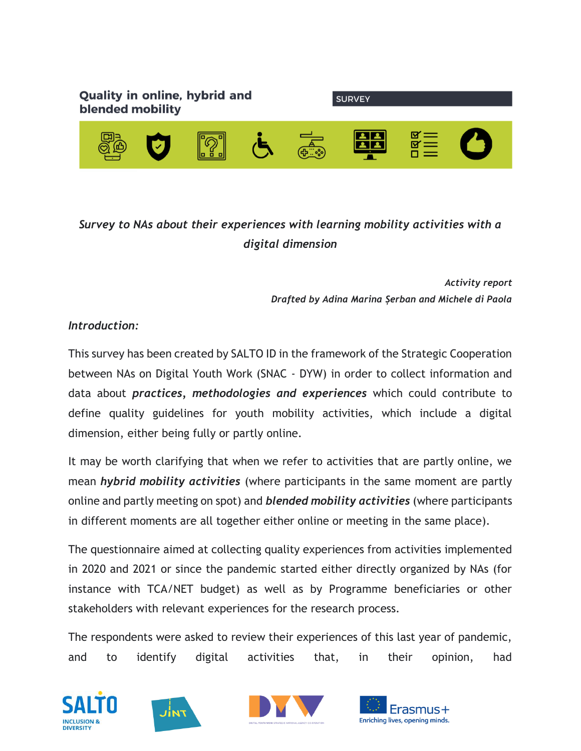

## *Survey to NAs about their experiences with learning mobility activities with a digital dimension*

*Activity report Drafted by Adina Marina Șerban and Michele di Paola*

## *Introduction:*

This survey has been created by SALTO ID in the framework of the Strategic Cooperation between NAs on Digital Youth Work (SNAC - DYW) in order to collect information and data about *practices, methodologies and experiences* which could contribute to define quality guidelines for youth mobility activities, which include a digital dimension, either being fully or partly online.

It may be worth clarifying that when we refer to activities that are partly online, we mean *hybrid mobility activities* (where participants in the same moment are partly online and partly meeting on spot) and *blended mobility activities* (where participants in different moments are all together either online or meeting in the same place).

The questionnaire aimed at collecting quality experiences from activities implemented in 2020 and 2021 or since the pandemic started either directly organized by NAs (for instance with TCA/NET budget) as well as by Programme beneficiaries or other stakeholders with relevant experiences for the research process.

The respondents were asked to review their experiences of this last year of pandemic, and to identify digital activities that, in their opinion, had







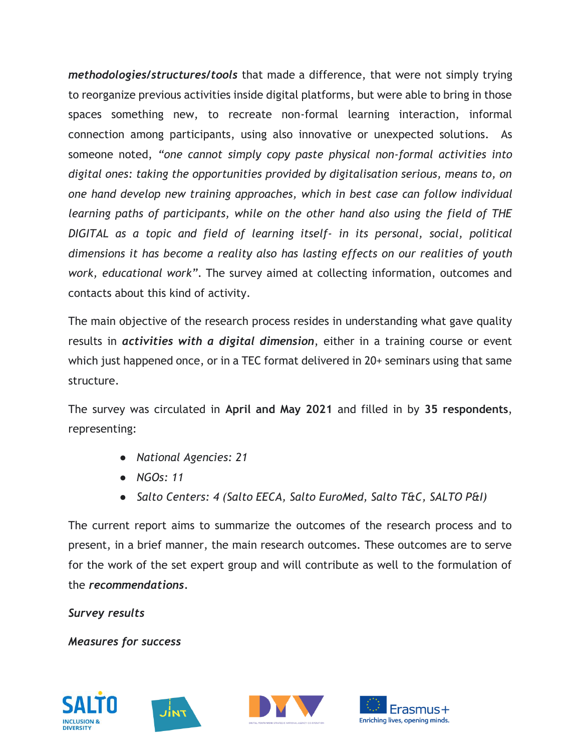*methodologies/structures/tools* that made a difference, that were not simply trying to reorganize previous activities inside digital platforms, but were able to bring in those spaces something new, to recreate non-formal learning interaction, informal connection among participants, using also innovative or unexpected solutions. As someone noted, *"one cannot simply copy paste physical non-formal activities into digital ones: taking the opportunities provided by digitalisation serious, means to, on one hand develop new training approaches, which in best case can follow individual learning paths of participants, while on the other hand also using the field of THE DIGITAL as a topic and field of learning itself- in its personal, social, political dimensions it has become a reality also has lasting effects on our realities of youth work, educational work"*. The survey aimed at collecting information, outcomes and contacts about this kind of activity.

The main objective of the research process resides in understanding what gave quality results in *activities with a digital dimension*, either in a training course or event which just happened once, or in a TEC format delivered in 20+ seminars using that same structure.

The survey was circulated in **April and May 2021** and filled in by **35 respondents**, representing:

- *National Agencies: 21*
- *NGOs: 11*
- *Salto Centers: 4 (Salto EECA, Salto EuroMed, Salto T&C, SALTO P&I)*

The current report aims to summarize the outcomes of the research process and to present, in a brief manner, the main research outcomes. These outcomes are to serve for the work of the set expert group and will contribute as well to the formulation of the *recommendations.*

*Survey results*

*Measures for success*







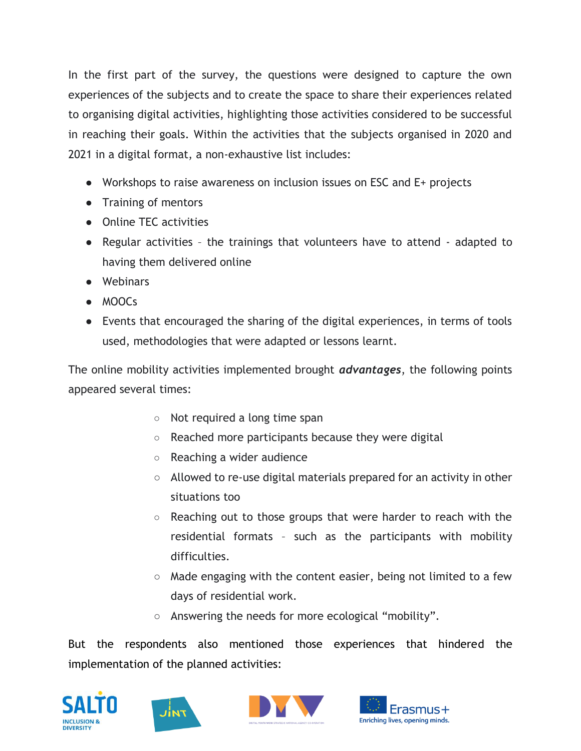In the first part of the survey, the questions were designed to capture the own experiences of the subjects and to create the space to share their experiences related to organising digital activities, highlighting those activities considered to be successful in reaching their goals. Within the activities that the subjects organised in 2020 and 2021 in a digital format, a non-exhaustive list includes:

- Workshops to raise awareness on inclusion issues on ESC and E+ projects
- Training of mentors
- Online TEC activities
- Regular activities the trainings that volunteers have to attend adapted to having them delivered online
- Webinars
- MOOCs
- Events that encouraged the sharing of the digital experiences, in terms of tools used, methodologies that were adapted or lessons learnt.

The online mobility activities implemented brought *advantages*, the following points appeared several times:

- Not required a long time span
- Reached more participants because they were digital
- Reaching a wider audience
- Allowed to re-use digital materials prepared for an activity in other situations too
- $\circ$  Reaching out to those groups that were harder to reach with the residential formats – such as the participants with mobility difficulties.
- Made engaging with the content easier, being not limited to a few days of residential work.
- Answering the needs for more ecological "mobility".

But the respondents also mentioned those experiences that hindered the implementation of the planned activities:







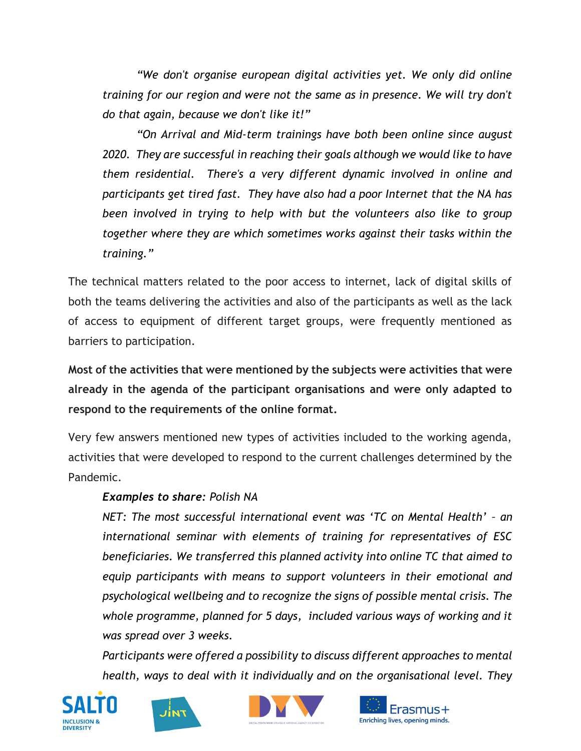*"We don't organise european digital activities yet. We only did online training for our region and were not the same as in presence. We will try don't do that again, because we don't like it!"*

*"On Arrival and Mid-term trainings have both been online since august 2020. They are successful in reaching their goals although we would like to have them residential. There's a very different dynamic involved in online and participants get tired fast. They have also had a poor Internet that the NA has been involved in trying to help with but the volunteers also like to group together where they are which sometimes works against their tasks within the training."*

The technical matters related to the poor access to internet, lack of digital skills of both the teams delivering the activities and also of the participants as well as the lack of access to equipment of different target groups, were frequently mentioned as barriers to participation.

**Most of the activities that were mentioned by the subjects were activities that were already in the agenda of the participant organisations and were only adapted to respond to the requirements of the online format.**

Very few answers mentioned new types of activities included to the working agenda, activities that were developed to respond to the current challenges determined by the Pandemic.

## *Examples to share: Polish NA*

*NET: The most successful international event was 'TC on Mental Health' – an international seminar with elements of training for representatives of ESC beneficiaries. We transferred this planned activity into online TC that aimed to equip participants with means to support volunteers in their emotional and psychological wellbeing and to recognize the signs of possible mental crisis. The whole programme, planned for 5 days, included various ways of working and it was spread over 3 weeks.*

*Participants were offered a possibility to discuss different approaches to mental health, ways to deal with it individually and on the organisational level. They* 







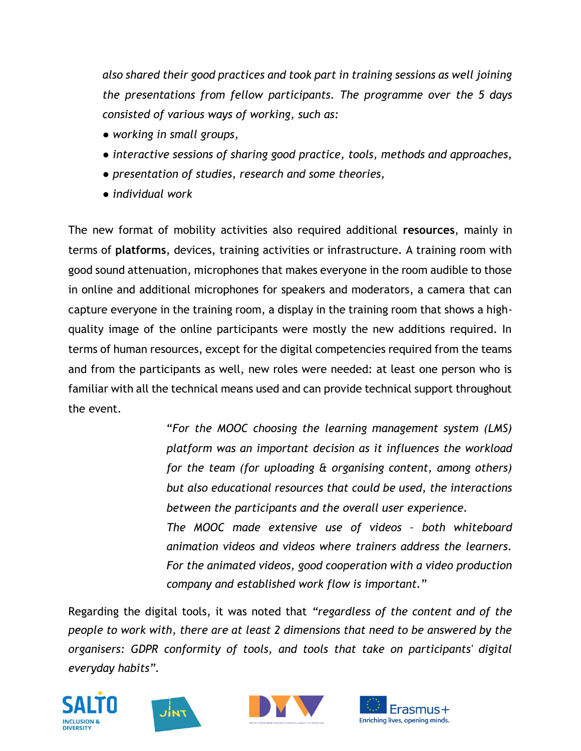*also shared their good practices and took part in training sessions as well joining the presentations from fellow participants. The programme over the 5 days consisted of various ways of working, such as:*

- *working in small groups,*
- *interactive sessions of sharing good practice, tools, methods and approaches,*
- *presentation of studies, research and some theories,*
- *individual work*

The new format of mobility activities also required additional **resources**, mainly in terms of **platforms**, devices, training activities or infrastructure. A training room with good sound attenuation, microphones that makes everyone in the room audible to those in online and additional microphones for speakers and moderators, a camera that can capture everyone in the training room, a display in the training room that shows a highquality image of the online participants were mostly the new additions required. In terms of human resources, except for the digital competencies required from the teams and from the participants as well, new roles were needed: at least one person who is familiar with all the technical means used and can provide technical support throughout the event.

> "*For the MOOC choosing the learning management system (LMS) platform was an important decision as it influences the workload for the team (for uploading & organising content, among others) but also educational resources that could be used, the interactions between the participants and the overall user experience. The MOOC made extensive use of videos – both whiteboard*

> *animation videos and videos where trainers address the learners. For the animated videos, good cooperation with a video production company and established work flow is important.*"

Regarding the digital tools, it was noted that *"regardless of the content and of the people to work with, there are at least 2 dimensions that need to be answered by the organisers: GDPR conformity of tools, and tools that take on participants' digital everyday habits".*







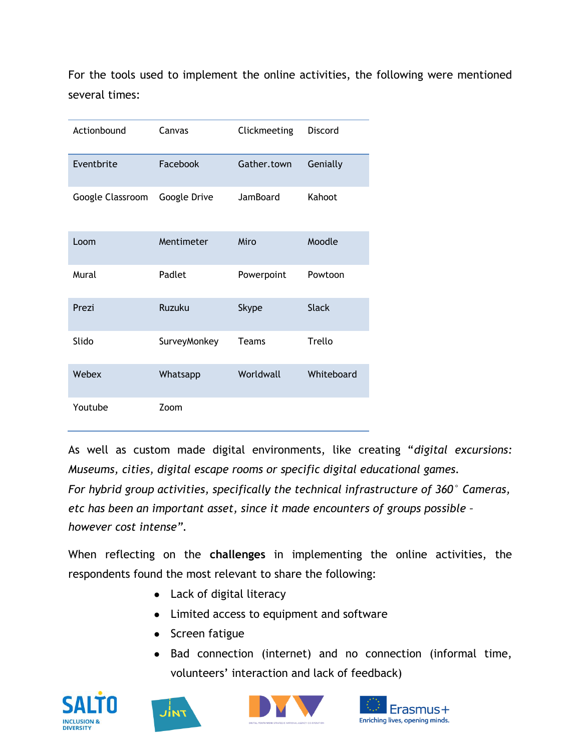For the tools used to implement the online activities, the following were mentioned several times:

| Actionbound      | Canvas        | Clickmeeting | Discord      |
|------------------|---------------|--------------|--------------|
| Eventbrite       | Facebook      | Gather.town  | Genially     |
| Google Classroom | Google Drive  | JamBoard     | Kahoot       |
| Loom             | Mentimeter    | Miro         | Moodle       |
| Mural            | Padlet        | Powerpoint   | Powtoon      |
| Prezi            | <b>Ruzuku</b> | <b>Skype</b> | <b>Slack</b> |
| Slido            | SurveyMonkey  | Teams        | Trello       |
| Webex            | Whatsapp      | Worldwall    | Whiteboard   |
| Youtube          | Zoom          |              |              |

As well as custom made digital environments, like creating "*digital excursions: Museums, cities, digital escape rooms or specific digital educational games. For hybrid group activities, specifically the technical infrastructure of 360° Cameras, etc has been an important asset, since it made encounters of groups possible – however cost intense".*

When reflecting on the **challenges** in implementing the online activities, the respondents found the most relevant to share the following:

- Lack of digital literacy
- Limited access to equipment and software
- Screen fatigue
- Bad connection (internet) and no connection (informal time, volunteers' interaction and lack of feedback)







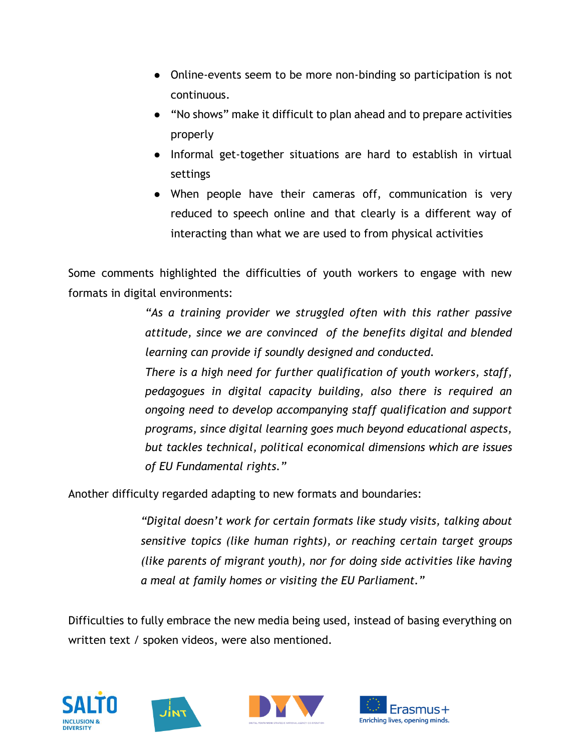- Online-events seem to be more non-binding so participation is not continuous.
- "No shows" make it difficult to plan ahead and to prepare activities properly
- Informal get-together situations are hard to establish in virtual settings
- When people have their cameras off, communication is very reduced to speech online and that clearly is a different way of interacting than what we are used to from physical activities

Some comments highlighted the difficulties of youth workers to engage with new formats in digital environments:

> *"As a training provider we struggled often with this rather passive attitude, since we are convinced of the benefits digital and blended learning can provide if soundly designed and conducted.*

> *There is a high need for further qualification of youth workers, staff, pedagogues in digital capacity building, also there is required an ongoing need to develop accompanying staff qualification and support programs, since digital learning goes much beyond educational aspects, but tackles technical, political economical dimensions which are issues of EU Fundamental rights."*

Another difficulty regarded adapting to new formats and boundaries:

*"Digital doesn't work for certain formats like study visits, talking about sensitive topics (like human rights), or reaching certain target groups (like parents of migrant youth), nor for doing side activities like having a meal at family homes or visiting the EU Parliament."*

Difficulties to fully embrace the new media being used, instead of basing everything on written text / spoken videos, were also mentioned.







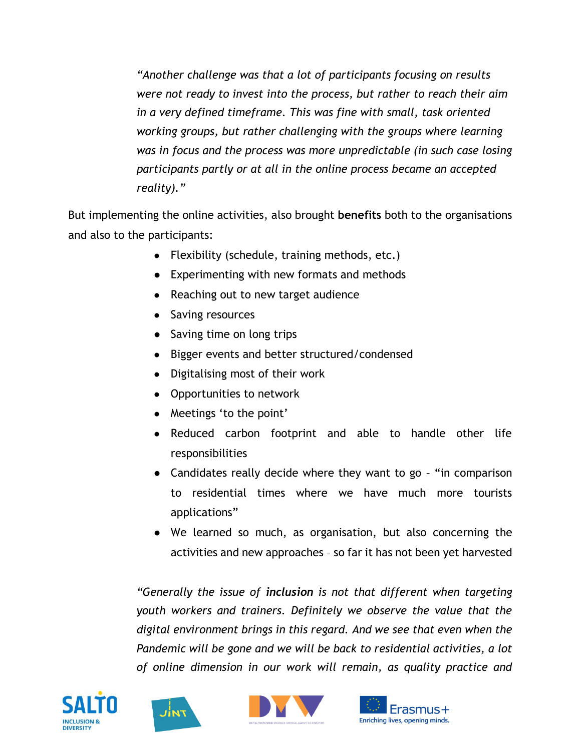*"Another challenge was that a lot of participants focusing on results were not ready to invest into the process, but rather to reach their aim in a very defined timeframe. This was fine with small, task oriented working groups, but rather challenging with the groups where learning was in focus and the process was more unpredictable (in such case losing participants partly or at all in the online process became an accepted reality)."* 

But implementing the online activities, also brought **benefits** both to the organisations and also to the participants:

- Flexibility (schedule, training methods, etc.)
- Experimenting with new formats and methods
- Reaching out to new target audience
- Saving resources
- Saving time on long trips
- Bigger events and better structured/condensed
- Digitalising most of their work
- Opportunities to network
- Meetings 'to the point'
- Reduced carbon footprint and able to handle other life responsibilities
- Candidates really decide where they want to go "in comparison to residential times where we have much more tourists applications"
- We learned so much, as organisation, but also concerning the activities and new approaches – so far it has not been yet harvested

*"Generally the issue of inclusion is not that different when targeting youth workers and trainers. Definitely we observe the value that the digital environment brings in this regard. And we see that even when the Pandemic will be gone and we will be back to residential activities, a lot of online dimension in our work will remain, as quality practice and* 







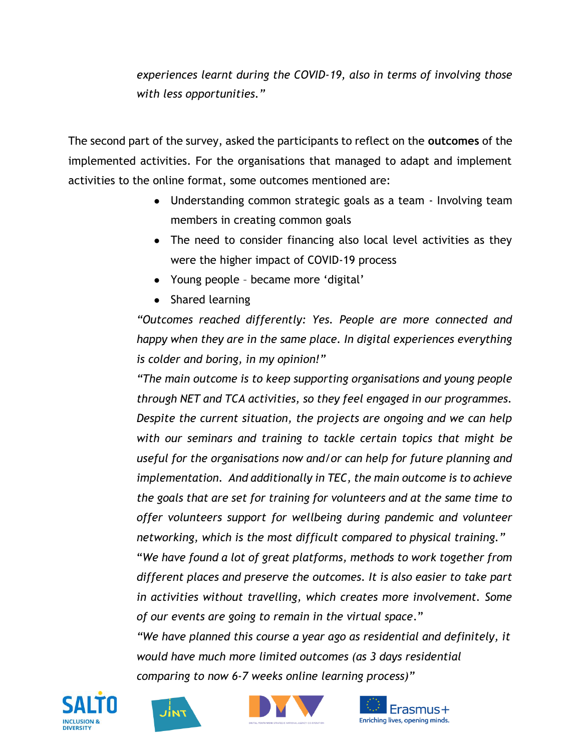*experiences learnt during the COVID-19, also in terms of involving those with less opportunities."*

The second part of the survey, asked the participants to reflect on the **outcomes** of the implemented activities. For the organisations that managed to adapt and implement activities to the online format, some outcomes mentioned are:

- Understanding common strategic goals as a team Involving team members in creating common goals
- The need to consider financing also local level activities as they were the higher impact of COVID-19 process
- Young people became more 'digital'
- Shared learning

*"Outcomes reached differently: Yes. People are more connected and happy when they are in the same place. In digital experiences everything is colder and boring, in my opinion!"*

*"The main outcome is to keep supporting organisations and young people through NET and TCA activities, so they feel engaged in our programmes. Despite the current situation, the projects are ongoing and we can help with our seminars and training to tackle certain topics that might be useful for the organisations now and/or can help for future planning and implementation. And additionally in TEC, the main outcome is to achieve the goals that are set for training for volunteers and at the same time to offer volunteers support for wellbeing during pandemic and volunteer networking, which is the most difficult compared to physical training."*

"*We have found a lot of great platforms, methods to work together from different places and preserve the outcomes. It is also easier to take part in activities without travelling, which creates more involvement. Some of our events are going to remain in the virtual space*."

*"We have planned this course a year ago as residential and definitely, it would have much more limited outcomes (as 3 days residential comparing to now 6-7 weeks online learning process)"*







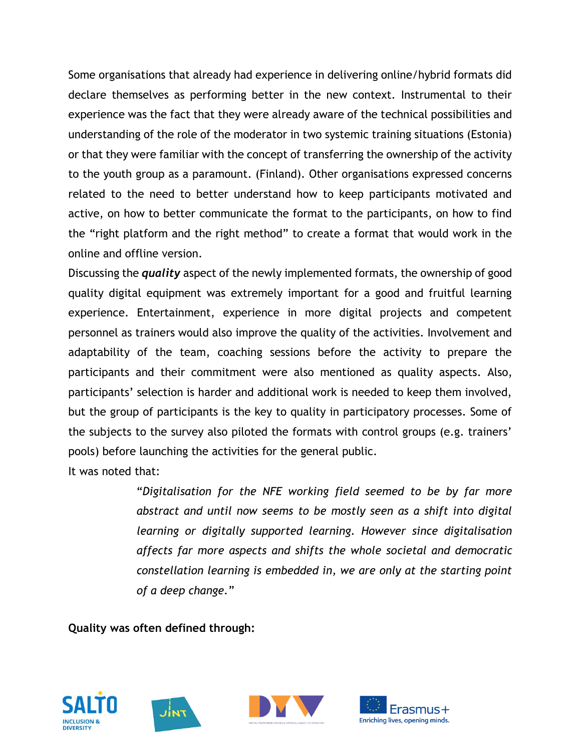Some organisations that already had experience in delivering online/hybrid formats did declare themselves as performing better in the new context. Instrumental to their experience was the fact that they were already aware of the technical possibilities and understanding of the role of the moderator in two systemic training situations (Estonia) or that they were familiar with the concept of transferring the ownership of the activity to the youth group as a paramount. (Finland). Other organisations expressed concerns related to the need to better understand how to keep participants motivated and active, on how to better communicate the format to the participants, on how to find the "right platform and the right method" to create a format that would work in the online and offline version.

Discussing the *quality* aspect of the newly implemented formats, the ownership of good quality digital equipment was extremely important for a good and fruitful learning experience. Entertainment, experience in more digital projects and competent personnel as trainers would also improve the quality of the activities. Involvement and adaptability of the team, coaching sessions before the activity to prepare the participants and their commitment were also mentioned as quality aspects. Also, participants' selection is harder and additional work is needed to keep them involved, but the group of participants is the key to quality in participatory processes. Some of the subjects to the survey also piloted the formats with control groups (e.g. trainers' pools) before launching the activities for the general public.

It was noted that:

"*Digitalisation for the NFE working field seemed to be by far more abstract and until now seems to be mostly seen as a shift into digital learning or digitally supported learning. However since digitalisation affects far more aspects and shifts the whole societal and democratic constellation learning is embedded in, we are only at the starting point of a deep change.*"

**Quality was often defined through:**







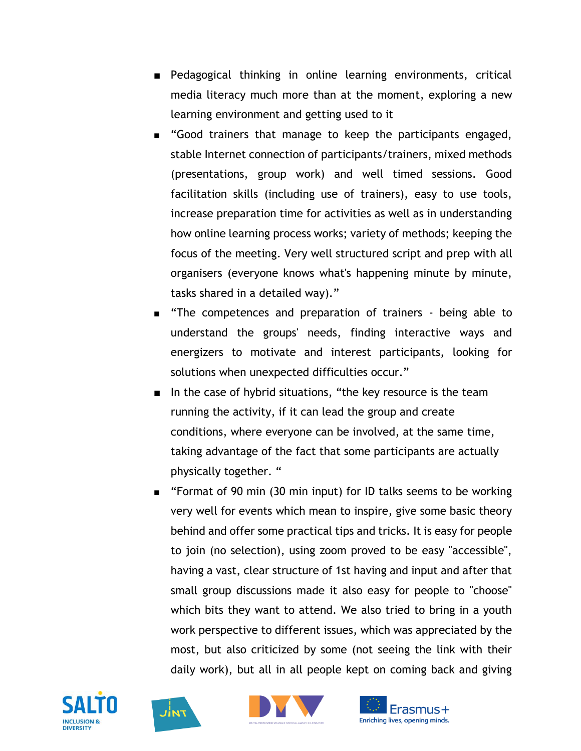- Pedagogical thinking in online learning environments, critical media literacy much more than at the moment, exploring a new learning environment and getting used to it
- "Good trainers that manage to keep the participants engaged, stable Internet connection of participants/trainers, mixed methods (presentations, group work) and well timed sessions. Good facilitation skills (including use of trainers), easy to use tools, increase preparation time for activities as well as in understanding how online learning process works; variety of methods; keeping the focus of the meeting. Very well structured script and prep with all organisers (everyone knows what's happening minute by minute, tasks shared in a detailed way)."
- "The competences and preparation of trainers being able to understand the groups' needs, finding interactive ways and energizers to motivate and interest participants, looking for solutions when unexpected difficulties occur."
- In the case of hybrid situations, "the key resource is the team running the activity, if it can lead the group and create conditions, where everyone can be involved, at the same time, taking advantage of the fact that some participants are actually physically together. "
- "Format of 90 min (30 min input) for ID talks seems to be working very well for events which mean to inspire, give some basic theory behind and offer some practical tips and tricks. It is easy for people to join (no selection), using zoom proved to be easy "accessible", having a vast, clear structure of 1st having and input and after that small group discussions made it also easy for people to "choose" which bits they want to attend. We also tried to bring in a youth work perspective to different issues, which was appreciated by the most, but also criticized by some (not seeing the link with their daily work), but all in all people kept on coming back and giving







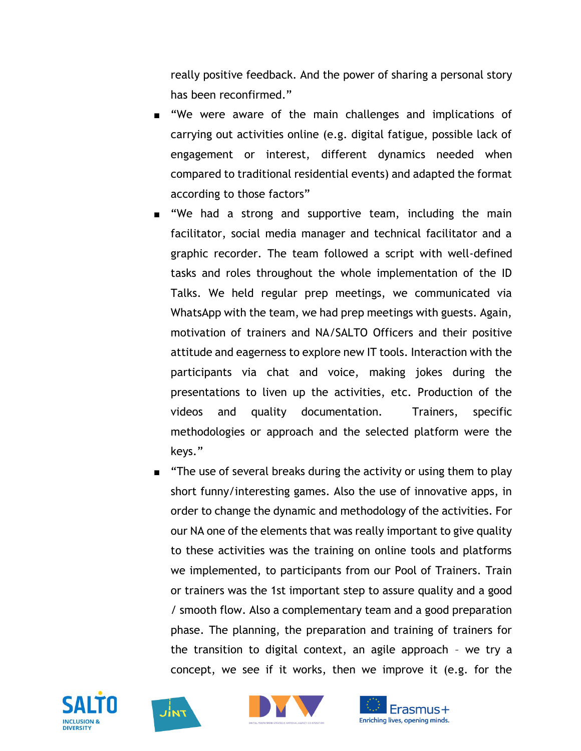really positive feedback. And the power of sharing a personal story has been reconfirmed."

- "We were aware of the main challenges and implications of carrying out activities online (e.g. digital fatigue, possible lack of engagement or interest, different dynamics needed when compared to traditional residential events) and adapted the format according to those factors"
- "We had a strong and supportive team, including the main facilitator, social media manager and technical facilitator and a graphic recorder. The team followed a script with well-defined tasks and roles throughout the whole implementation of the ID Talks. We held regular prep meetings, we communicated via WhatsApp with the team, we had prep meetings with guests. Again, motivation of trainers and NA/SALTO Officers and their positive attitude and eagerness to explore new IT tools. Interaction with the participants via chat and voice, making jokes during the presentations to liven up the activities, etc. Production of the videos and quality documentation. Trainers, specific methodologies or approach and the selected platform were the keys."
- "The use of several breaks during the activity or using them to play short funny/interesting games. Also the use of innovative apps, in order to change the dynamic and methodology of the activities. For our NA one of the elements that was really important to give quality to these activities was the training on online tools and platforms we implemented, to participants from our Pool of Trainers. Train or trainers was the 1st important step to assure quality and a good / smooth flow. Also a complementary team and a good preparation phase. The planning, the preparation and training of trainers for the transition to digital context, an agile approach – we try a concept, we see if it works, then we improve it (e.g. for the







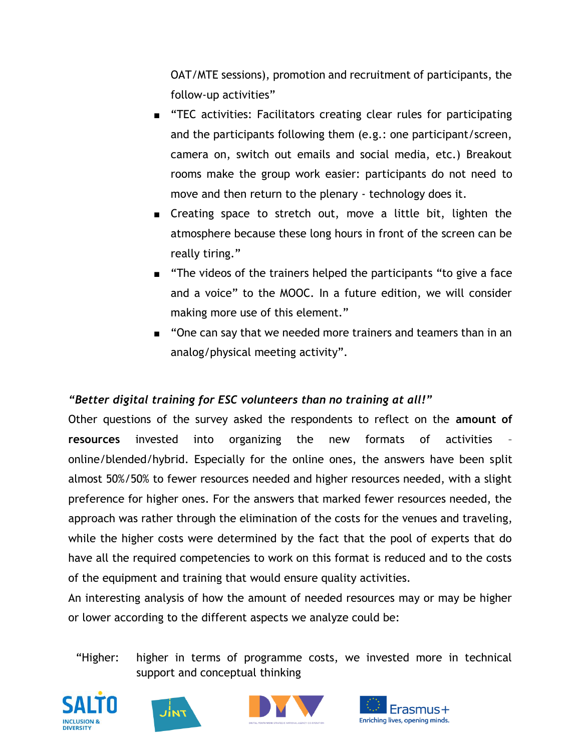OAT/MTE sessions), promotion and recruitment of participants, the follow-up activities"

- "TEC activities: Facilitators creating clear rules for participating and the participants following them (e.g.: one participant/screen, camera on, switch out emails and social media, etc.) Breakout rooms make the group work easier: participants do not need to move and then return to the plenary - technology does it.
- Creating space to stretch out, move a little bit, lighten the atmosphere because these long hours in front of the screen can be really tiring."
- "The videos of the trainers helped the participants "to give a face and a voice" to the MOOC. In a future edition, we will consider making more use of this element."
- "One can say that we needed more trainers and teamers than in an analog/physical meeting activity".

## *"Better digital training for ESC volunteers than no training at all!"*

Other questions of the survey asked the respondents to reflect on the **amount of resources** invested into organizing the new formats of activities – online/blended/hybrid. Especially for the online ones, the answers have been split almost 50%/50% to fewer resources needed and higher resources needed, with a slight preference for higher ones. For the answers that marked fewer resources needed, the approach was rather through the elimination of the costs for the venues and traveling, while the higher costs were determined by the fact that the pool of experts that do have all the required competencies to work on this format is reduced and to the costs of the equipment and training that would ensure quality activities.

An interesting analysis of how the amount of needed resources may or may be higher or lower according to the different aspects we analyze could be:

## "Higher: higher in terms of programme costs, we invested more in technical support and conceptual thinking







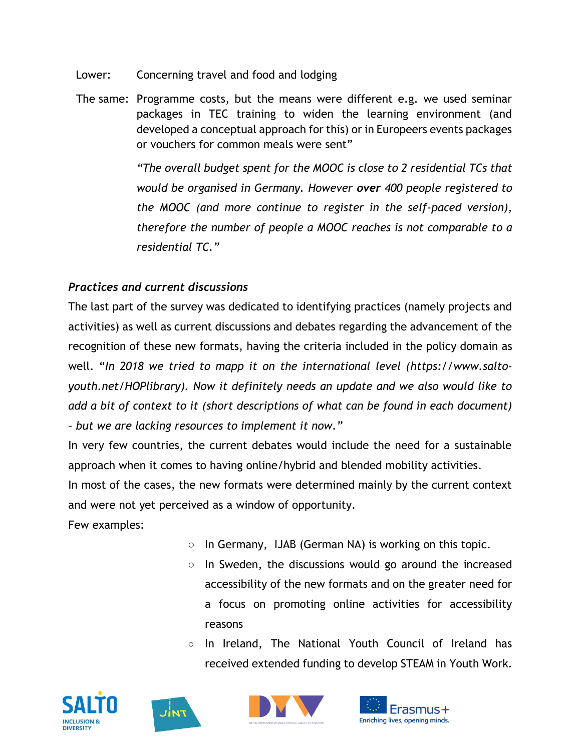Lower: Concerning travel and food and lodging

The same: Programme costs, but the means were different e.g. we used seminar packages in TEC training to widen the learning environment (and developed a conceptual approach for this) or in Europeers events packages or vouchers for common meals were sent"

> *"The overall budget spent for the MOOC is close to 2 residential TCs that would be organised in Germany. However over 400 people registered to the MOOC (and more continue to register in the self-paced version), therefore the number of people a MOOC reaches is not comparable to a residential TC."*

## *Practices and current discussions*

The last part of the survey was dedicated to identifying practices (namely projects and activities) as well as current discussions and debates regarding the advancement of the recognition of these new formats, having the criteria included in the policy domain as well. "In 2018 we tried to mapp it on the international level [\(https://www.salto](https://www.salto-youth.net/HOPlibrary)*[youth.net/HOPlibrary\)](https://www.salto-youth.net/HOPlibrary). Now it definitely needs an update and we also would like to add a bit of context to it (short descriptions of what can be found in each document) – but we are lacking resources to implement it now."*

In very few countries, the current debates would include the need for a sustainable approach when it comes to having online/hybrid and blended mobility activities.

In most of the cases, the new formats were determined mainly by the current context and were not yet perceived as a window of opportunity.

Few examples:

- In Germany, IJAB (German NA) is working on this topic.
- In Sweden, the discussions would go around the increased accessibility of the new formats and on the greater need for a focus on promoting online activities for accessibility reasons
- In Ireland, The National Youth Council of Ireland has received extended funding to develop STEAM in Youth Work.







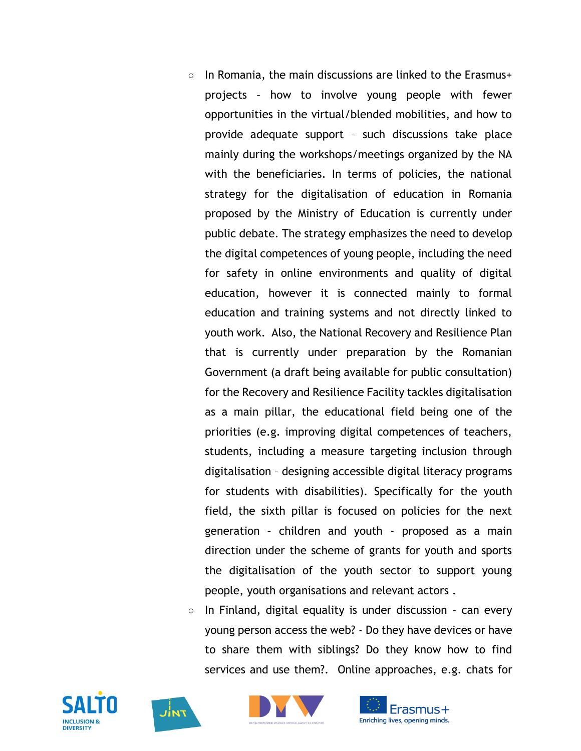- In Romania, the main discussions are linked to the Erasmus+ projects – how to involve young people with fewer opportunities in the virtual/blended mobilities, and how to provide adequate support – such discussions take place mainly during the workshops/meetings organized by the NA with the beneficiaries. In terms of policies, the national strategy for the digitalisation of education in Romania proposed by the Ministry of Education is currently under public debate. The strategy emphasizes the need to develop the digital competences of young people, including the need for safety in online environments and quality of digital education, however it is connected mainly to formal education and training systems and not directly linked to youth work. Also, the National Recovery and Resilience Plan that is currently under preparation by the Romanian Government (a draft being available for public consultation) for the Recovery and Resilience Facility tackles digitalisation as a main pillar, the educational field being one of the priorities (e.g. improving digital competences of teachers, students, including a measure targeting inclusion through digitalisation – designing accessible digital literacy programs for students with disabilities). Specifically for the youth field, the sixth pillar is focused on policies for the next generation – children and youth - proposed as a main direction under the scheme of grants for youth and sports the digitalisation of the youth sector to support young people, youth organisations and relevant actors .
- In Finland, digital equality is under discussion  $\cdot$  can every young person access the web? - Do they have devices or have to share them with siblings? Do they know how to find services and use them?. Online approaches, e.g. chats for







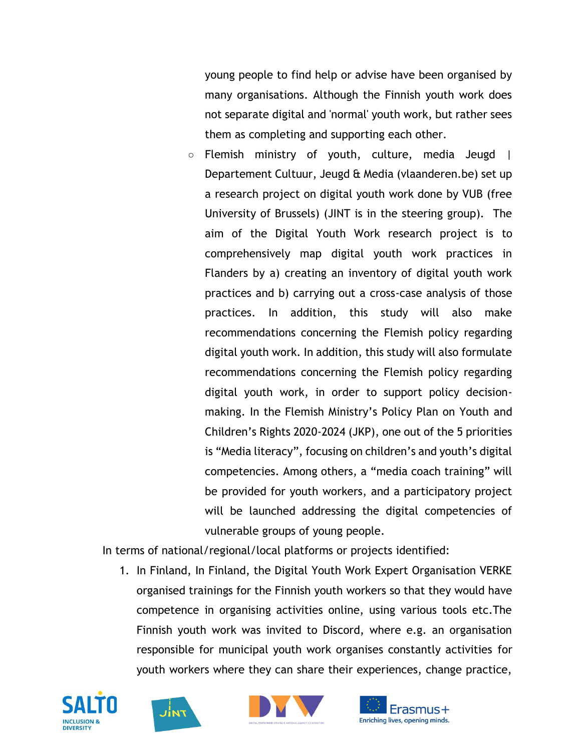young people to find help or advise have been organised by many organisations. Although the Finnish youth work does not separate digital and 'normal' youth work, but rather sees them as completing and supporting each other.

○ Flemish ministry of youth, culture, media Jeugd | Departement Cultuur, Jeugd & Media (vlaanderen.be) set up a research project on digital youth work done by VUB (free University of Brussels) (JINT is in the steering group). The aim of the Digital Youth Work research project is to comprehensively map digital youth work practices in Flanders by a) creating an inventory of digital youth work practices and b) carrying out a cross-case analysis of those practices. In addition, this study will also make recommendations concerning the Flemish policy regarding digital youth work. In addition, this study will also formulate recommendations concerning the Flemish policy regarding digital youth work, in order to support policy decisionmaking. In the Flemish Ministry's Policy Plan on Youth and Children's Rights 2020-2024 (JKP), one out of the 5 priorities is "Media literacy", focusing on children's and youth's digital competencies. Among others, a "media coach training" will be provided for youth workers, and a participatory project will be launched addressing the digital competencies of vulnerable groups of young people.

In terms of national/regional/local platforms or projects identified:

1. In Finland, In Finland, the Digital Youth Work Expert Organisation VERKE organised trainings for the Finnish youth workers so that they would have competence in organising activities online, using various tools etc.The Finnish youth work was invited to Discord, where e.g. an organisation responsible for municipal youth work organises constantly activities for youth workers where they can share their experiences, change practice,







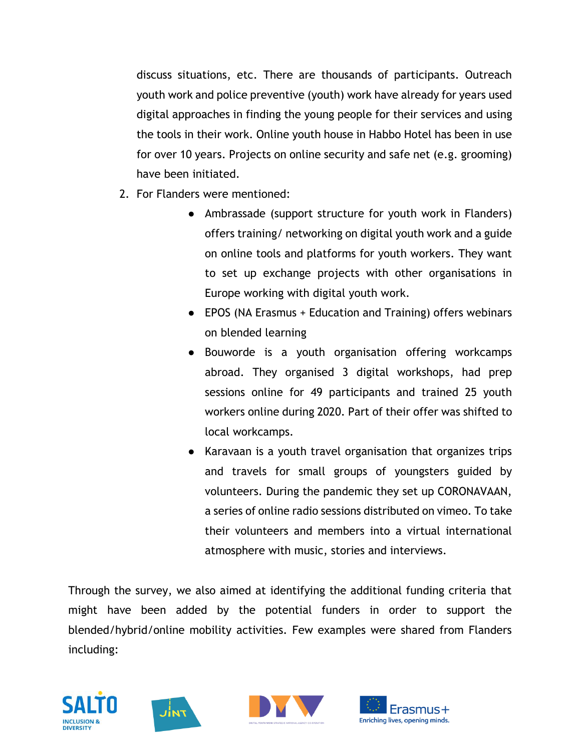discuss situations, etc. There are thousands of participants. Outreach youth work and police preventive (youth) work have already for years used digital approaches in finding the young people for their services and using the tools in their work. Online youth house in Habbo Hotel has been in use for over 10 years. Projects on online security and safe net (e.g. grooming) have been initiated.

- 2. For Flanders were mentioned:
	- Ambrassade (support structure for youth work in Flanders) offers training/ networking on digital youth work and a guide on online tools and platforms for youth workers. They want to set up exchange projects with other organisations in Europe working with digital youth work.
	- EPOS (NA Erasmus + Education and Training) offers webinars on blended learning
	- Bouworde is a youth organisation offering workcamps abroad. They organised 3 digital workshops, had prep sessions online for 49 participants and trained 25 youth workers online during 2020. Part of their offer was shifted to local workcamps.
	- Karavaan is a youth travel organisation that organizes trips and travels for small groups of youngsters guided by volunteers. During the pandemic they set up CORONAVAAN, a series of online radio sessions distributed on vimeo. To take their volunteers and members into a virtual international atmosphere with music, stories and interviews.

Through the survey, we also aimed at identifying the additional funding criteria that might have been added by the potential funders in order to support the blended/hybrid/online mobility activities. Few examples were shared from Flanders including:







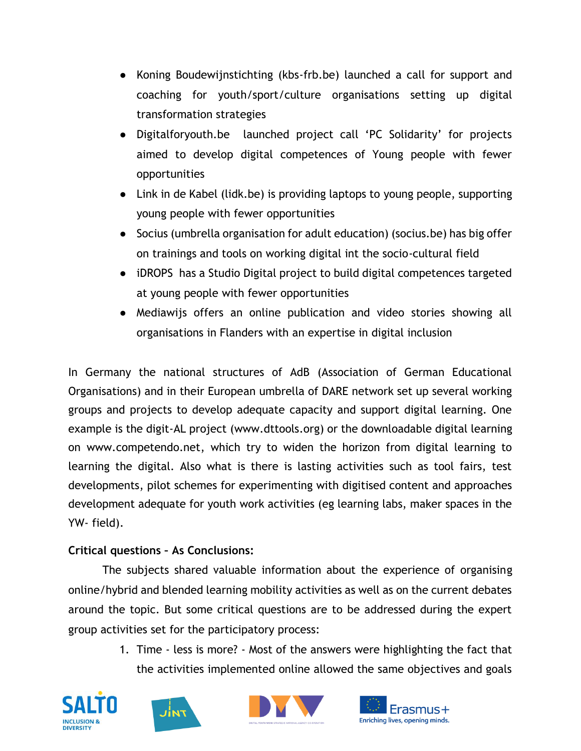- Koning Boudewijnstichting (kbs-frb.be) launched a call for support and coaching for youth/sport/culture organisations setting up digital transformation strategies
- Digitalforyouth.be launched project call 'PC Solidarity' for projects aimed to develop digital competences of Young people with fewer opportunities
- Link in de Kabel (lidk.be) is providing laptops to young people, supporting young people with fewer opportunities
- Socius (umbrella organisation for adult education) (socius.be) has big offer on trainings and tools on working digital int the socio-cultural field
- iDROPS has a Studio Digital project to build digital competences targeted at young people with fewer opportunities
- Mediawijs offers an online publication and video stories showing all organisations in Flanders with an expertise in digital inclusion

In Germany the national structures of AdB (Association of German Educational Organisations) and in their European umbrella of DARE network set up several working groups and projects to develop adequate capacity and support digital learning. One example is the digit-AL project [\(www.dttools.org\)](http://www.dttools.org/) or the downloadable digital learning on [www.competendo.net,](http://www.competendo.net/) which try to widen the horizon from digital learning to learning the digital. Also what is there is lasting activities such as tool fairs, test developments, pilot schemes for experimenting with digitised content and approaches development adequate for youth work activities (eg learning labs, maker spaces in the YW- field).

## **Critical questions – As Conclusions:**

The subjects shared valuable information about the experience of organising online/hybrid and blended learning mobility activities as well as on the current debates around the topic. But some critical questions are to be addressed during the expert group activities set for the participatory process:

> 1. Time - less is more? - Most of the answers were highlighting the fact that the activities implemented online allowed the same objectives and goals







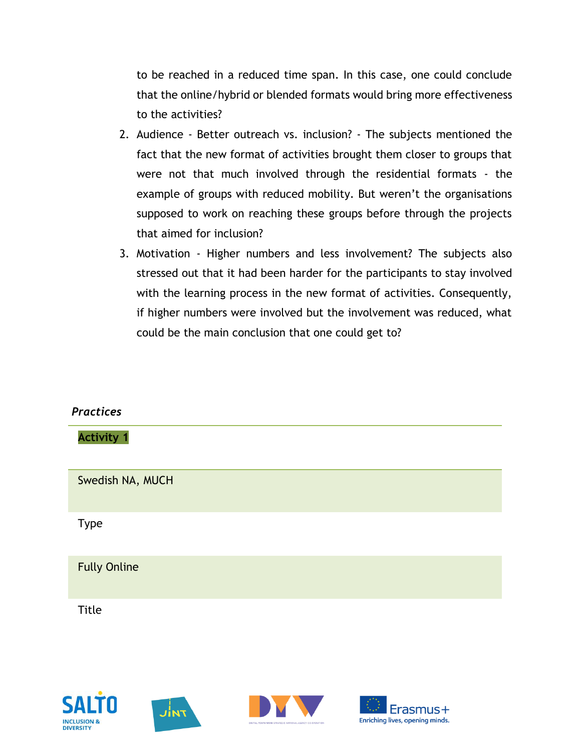to be reached in a reduced time span. In this case, one could conclude that the online/hybrid or blended formats would bring more effectiveness to the activities?

- 2. Audience Better outreach vs. inclusion? The subjects mentioned the fact that the new format of activities brought them closer to groups that were not that much involved through the residential formats - the example of groups with reduced mobility. But weren't the organisations supposed to work on reaching these groups before through the projects that aimed for inclusion?
- 3. Motivation Higher numbers and less involvement? The subjects also stressed out that it had been harder for the participants to stay involved with the learning process in the new format of activities. Consequently, if higher numbers were involved but the involvement was reduced, what could be the main conclusion that one could get to?

| <b>Practices</b>    |  |  |
|---------------------|--|--|
| <b>Activity 1</b>   |  |  |
| Swedish NA, MUCH    |  |  |
| <b>Type</b>         |  |  |
| <b>Fully Online</b> |  |  |
| Title               |  |  |







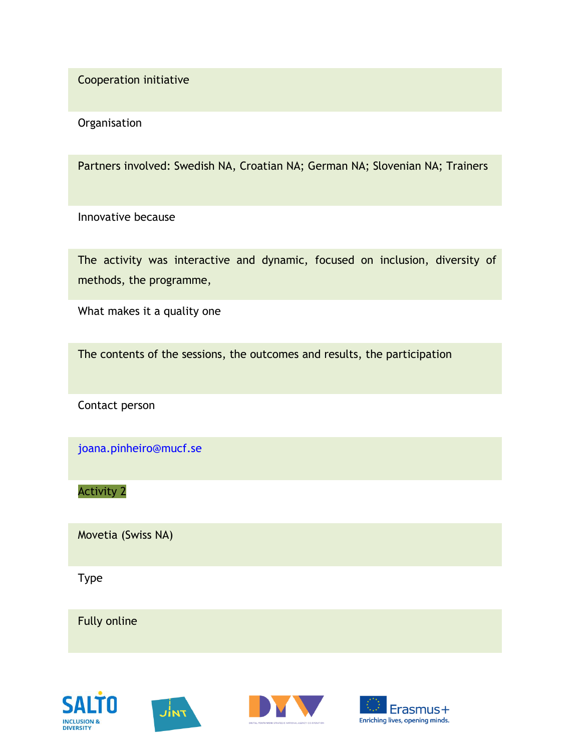Cooperation initiative

**Organisation** 

Partners involved: Swedish NA, Croatian NA; German NA; Slovenian NA; Trainers

Innovative because

The activity was interactive and dynamic, focused on inclusion, diversity of methods, the programme,

What makes it a quality one

The contents of the sessions, the outcomes and results, the participation

Contact person

joana.pinheiro@mucf.se

Activity 2

Movetia (Swiss NA)

Type

Fully online







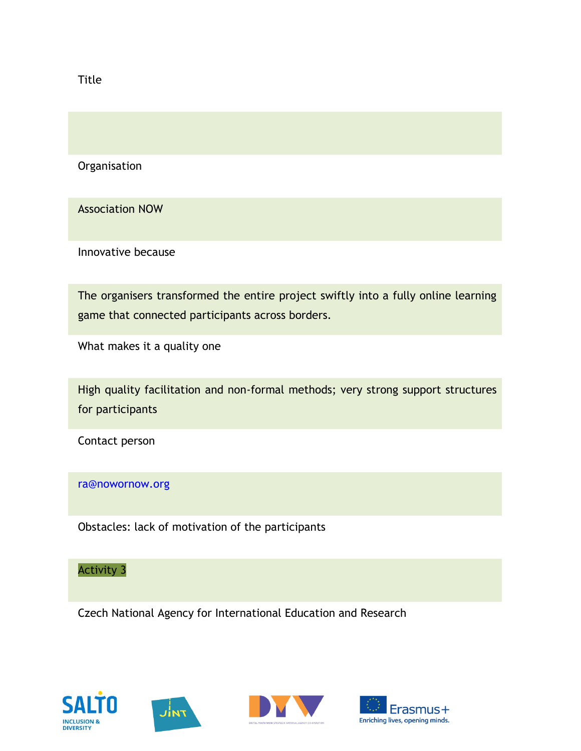Title

**Organisation** 

Association NOW

Innovative because

The organisers transformed the entire project swiftly into a fully online learning game that connected participants across borders.

What makes it a quality one

High quality facilitation and non-formal methods; very strong support structures for participants

Contact person

#### ra@nowornow.org

Obstacles: lack of motivation of the participants

## Activity 3

Czech National Agency for International Education and Research







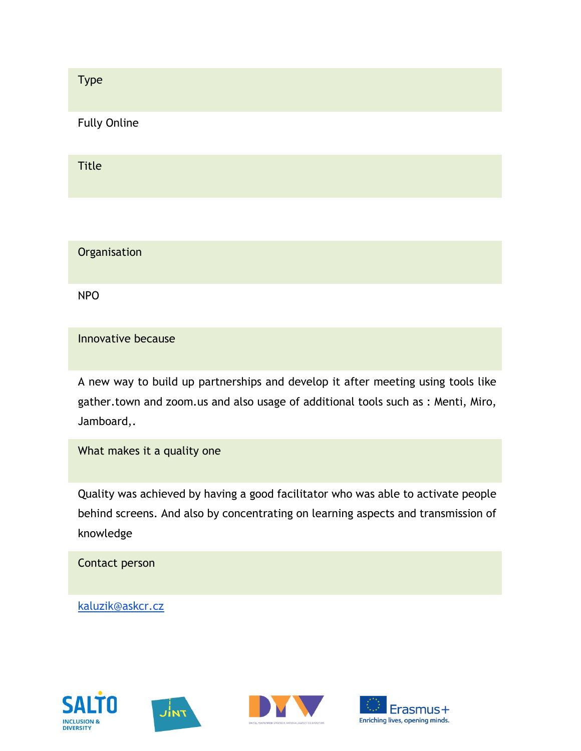Type Fully Online Title

**Organisation** 

NPO

Innovative because

A new way to build up partnerships and develop it after meeting using tools like gather.town and zoom.us and also usage of additional tools such as : Menti, Miro, Jamboard,.

What makes it a quality one

Quality was achieved by having a good facilitator who was able to activate people behind screens. And also by concentrating on learning aspects and transmission of knowledge

Contact person

[kaluzik@askcr.cz](mailto:kaluzik@askcr.cz)







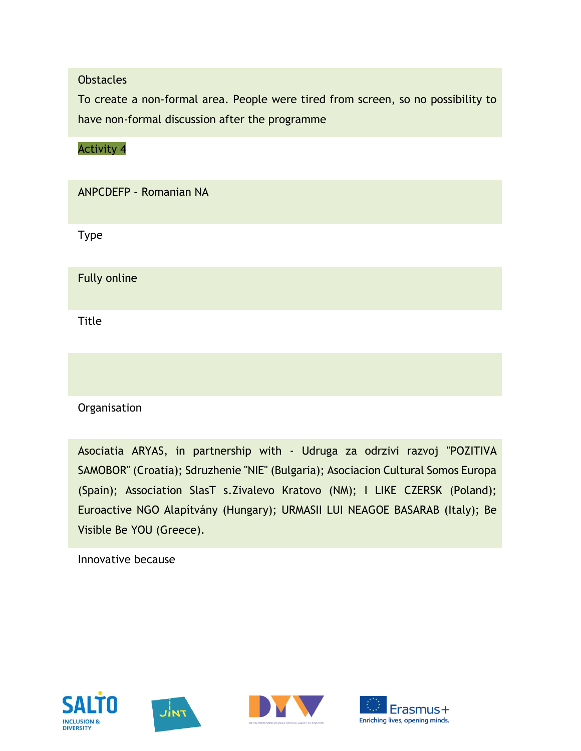#### **Obstacles**

To create a non-formal area. People were tired from screen, so no possibility to have non-formal discussion after the programme

Activity 4

ANPCDEFP – Romanian NA

Type

Fully online

**Title** 

**Organisation** 

Asociatia ARYAS, in partnership with - Udruga za odrzivi razvoj "POZITIVA SAMOBOR" (Croatia); Sdruzhenie "NIE" (Bulgaria); Asociacion Cultural Somos Europa (Spain); Association SlasT s.Zivalevo Kratovo (NM); I LIKE CZERSK (Poland); Euroactive NGO Alapítvány (Hungary); URMASII LUI NEAGOE BASARAB (Italy); Be Visible Be YOU (Greece).

Innovative because







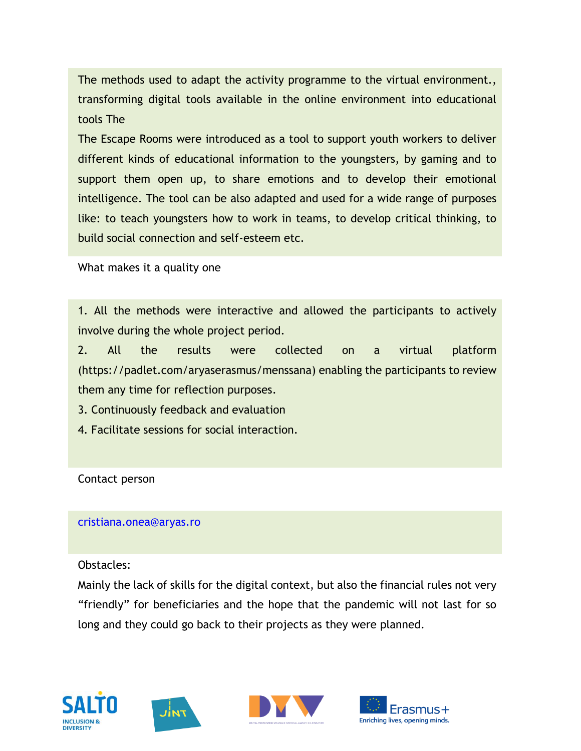The methods used to adapt the activity programme to the virtual environment., transforming digital tools available in the online environment into educational tools The

The Escape Rooms were introduced as a tool to support youth workers to deliver different kinds of educational information to the youngsters, by gaming and to support them open up, to share emotions and to develop their emotional intelligence. The tool can be also adapted and used for a wide range of purposes like: to teach youngsters how to work in teams, to develop critical thinking, to build social connection and self-esteem etc.

What makes it a quality one

1. All the methods were interactive and allowed the participants to actively involve during the whole project period.

2. All the results were collected on a virtual platform (https://padlet.com/aryaserasmus/menssana) enabling the participants to review them any time for reflection purposes.

3. Continuously feedback and evaluation

4. Facilitate sessions for social interaction.

Contact person

#### cristiana.onea@aryas.ro

Obstacles:

Mainly the lack of skills for the digital context, but also the financial rules not very "friendly" for beneficiaries and the hope that the pandemic will not last for so long and they could go back to their projects as they were planned.







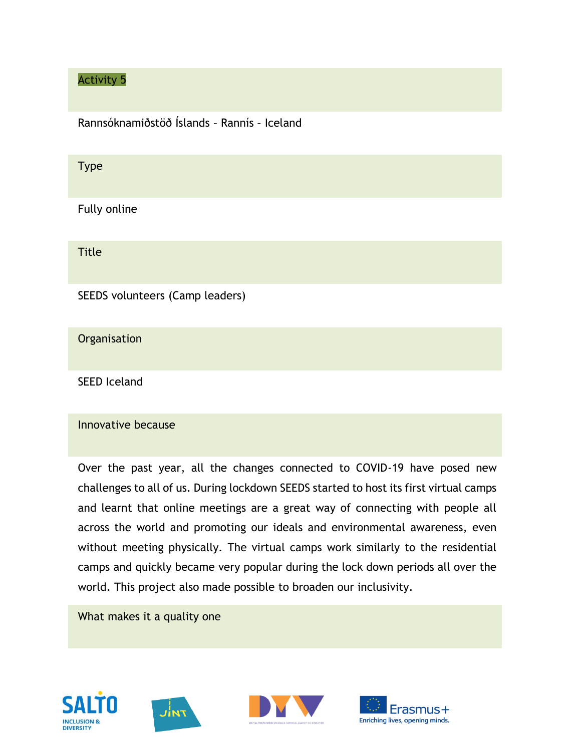## Activity 5

Rannsóknamiðstöð Íslands – Rannís – Iceland

#### Type

Fully online

Title

SEEDS volunteers (Camp leaders)

**Organisation** 

SEED Iceland

#### Innovative because

Over the past year, all the changes connected to COVID-19 have posed new challenges to all of us. During lockdown SEEDS started to host its first virtual camps and learnt that online meetings are a great way of connecting with people all across the world and promoting our ideals and environmental awareness, even without meeting physically. The virtual camps work similarly to the residential camps and quickly became very popular during the lock down periods all over the world. This project also made possible to broaden our inclusivity.

What makes it a quality one







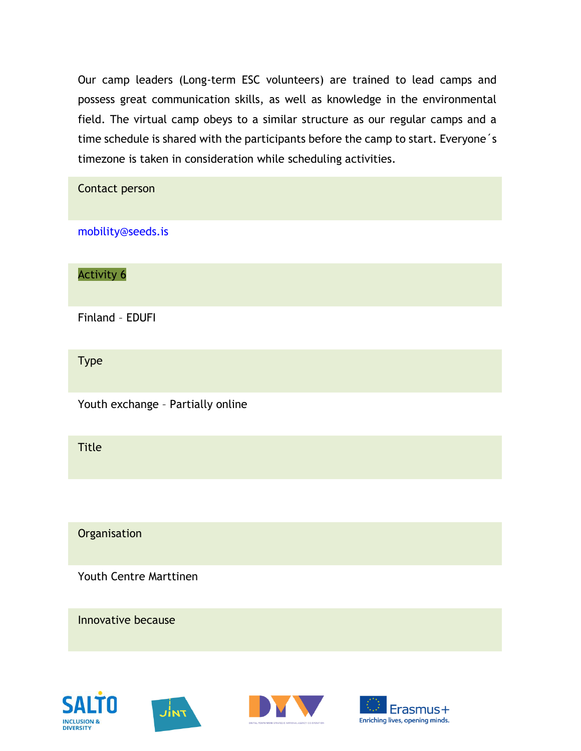Our camp leaders (Long-term ESC volunteers) are trained to lead camps and possess great communication skills, as well as knowledge in the environmental field. The virtual camp obeys to a similar structure as our regular camps and a time schedule is shared with the participants before the camp to start. Everyone´s timezone is taken in consideration while scheduling activities.

| Contact person                    |
|-----------------------------------|
| mobility@seeds.is                 |
| <b>Activity 6</b>                 |
| Finland - EDUFI                   |
| <b>Type</b>                       |
| Youth exchange - Partially online |
| <b>Title</b>                      |
|                                   |
| Organisation                      |
| Youth Centre Marttinen            |
| Innovative because                |







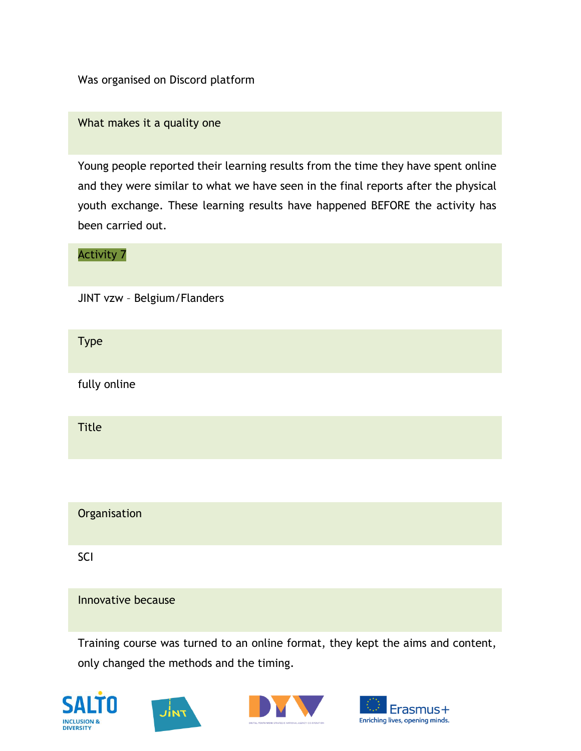Was organised on Discord platform

What makes it a quality one

Young people reported their learning results from the time they have spent online and they were similar to what we have seen in the final reports after the physical youth exchange. These learning results have happened BEFORE the activity has been carried out.

Activity 7 JINT vzw – Belgium/Flanders Type fully online Title

**Organisation** 

SCI

Innovative because

Training course was turned to an online format, they kept the aims and content, only changed the methods and the timing.







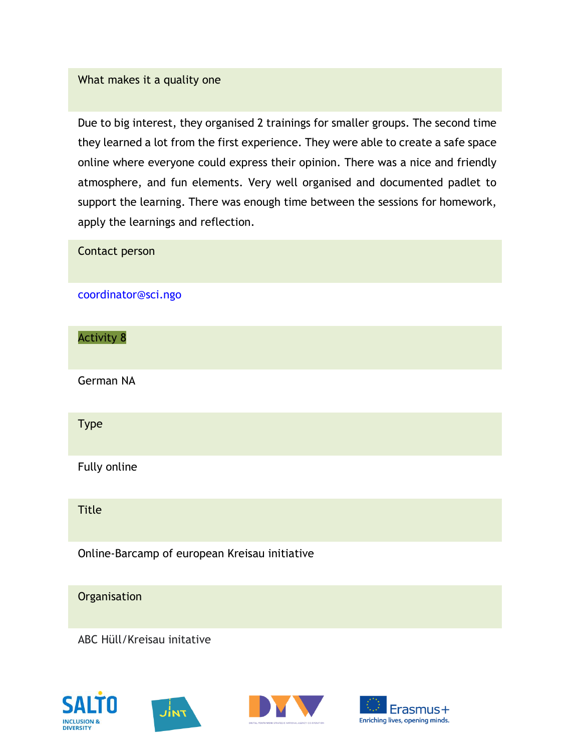#### What makes it a quality one

Due to big interest, they organised 2 trainings for smaller groups. The second time they learned a lot from the first experience. They were able to create a safe space online where everyone could express their opinion. There was a nice and friendly atmosphere, and fun elements. Very well organised and documented padlet to support the learning. There was enough time between the sessions for homework, apply the learnings and reflection.

# Contact person coordinator@sci.ngo Activity 8 German NA Type Fully online Title Online-Barcamp of european Kreisau initiative **Organisation** ABC Hüll/Kreisau initative







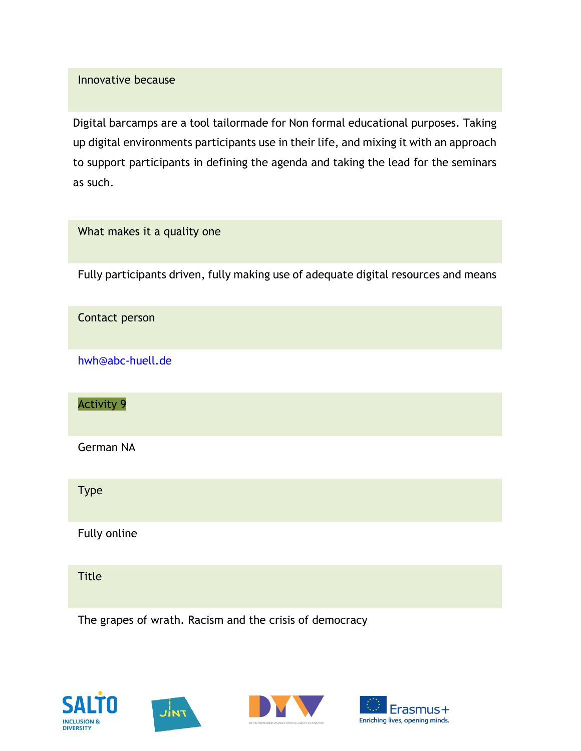#### Innovative because

Digital barcamps are a tool tailormade for Non formal educational purposes. Taking up digital environments participants use in their life, and mixing it with an approach to support participants in defining the agenda and taking the lead for the seminars as such.

| What makes it a quality one                                                         |
|-------------------------------------------------------------------------------------|
| Fully participants driven, fully making use of adequate digital resources and means |
| Contact person                                                                      |
| hwh@abc-huell.de                                                                    |
| <b>Activity 9</b>                                                                   |
| German NA                                                                           |
| <b>Type</b>                                                                         |
| Fully online                                                                        |
| <b>Title</b>                                                                        |





The grapes of wrath. Racism and the crisis of democracy



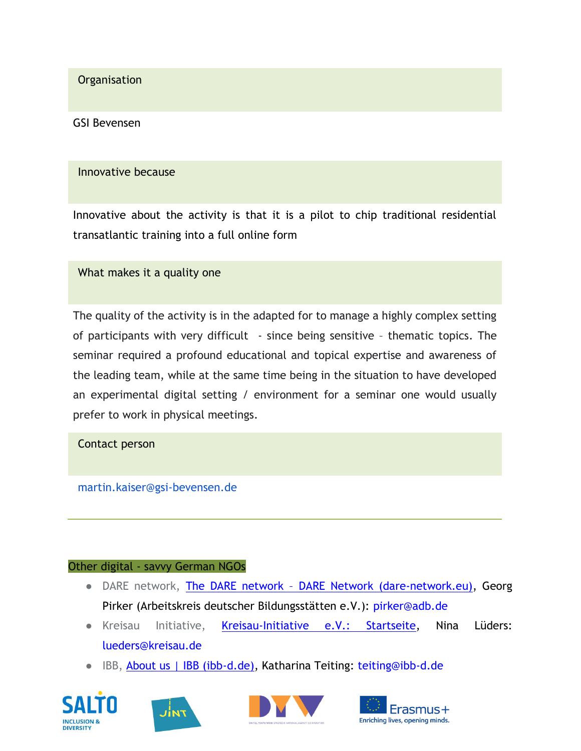**Organisation** 

GSI Bevensen

#### Innovative because

Innovative about the activity is that it is a pilot to chip traditional residential transatlantic training into a full online form

What makes it a quality one

The quality of the activity is in the adapted for to manage a highly complex setting of participants with very difficult - since being sensitive – thematic topics. The seminar required a profound educational and topical expertise and awareness of the leading team, while at the same time being in the situation to have developed an experimental digital setting / environment for a seminar one would usually prefer to work in physical meetings.

Contact person

martin.kaiser@gsi-bevensen.de

#### Other digital - savvy German NGOs

- DARE network, [T](https://dare-network.eu/the-dare-network/)he DARE network [DARE Network \(dare-network.eu\),](https://dare-network.eu/the-dare-network/) Georg Pirker (Arbeitskreis deutscher Bildungsstätten e.V.): pirker@adb.de
- Kreisau Initiative, [Kreisau-Initiative e.V.: Startseite,](https://www.kreisau.de/) Nina Lüders: lueders@kreisau.de
- IBB[,](https://ibb-d.de/homepage/wir-ueber-uns/?lang=en) [About us | IBB \(ibb-d.de\),](https://ibb-d.de/homepage/wir-ueber-uns/?lang=en) Katharina Teiting: teiting@ibb-d.de